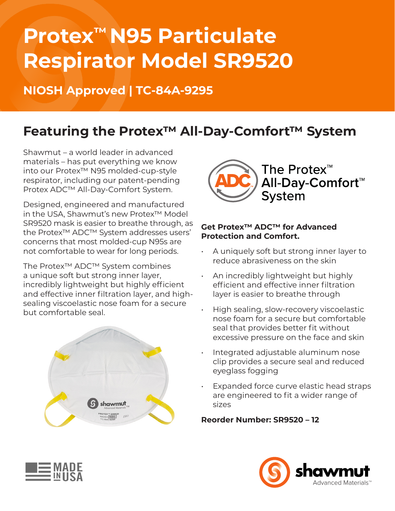# **Protex™ N95 Particulate Respirator Model SR9520**

### **NIOSH Approved | TC-84A-9295**

### **Featuring the Protex™ All-Day-Comfort™ System**

Shawmut – a world leader in advanced materials – has put everything we know into our Protex™ N95 molded-cup-style respirator, including our patent-pending Protex ADC™ All-Day-Comfort System.

Designed, engineered and manufactured in the USA, Shawmut's new Protex™ Model SR9520 mask is easier to breathe through, as the Protex™ ADC™ System addresses users' concerns that most molded-cup N95s are not comfortable to wear for long periods.

The Protex™ ADC™ System combines a unique soft but strong inner layer, incredibly lightweight but highly efficient and effective inner filtration layer, and highsealing viscoelastic nose foam for a secure but comfortable seal.





### **Get Protex™ ADC™ for Advanced Protection and Comfort.**

- A uniquely soft but strong inner layer to reduce abrasiveness on the skin
- An incredibly lightweight but highly efficient and effective inner filtration layer is easier to breathe through
- High sealing, slow-recovery viscoelastic nose foam for a secure but comfortable seal that provides better fit without excessive pressure on the face and skin
- Integrated adjustable aluminum nose clip provides a secure seal and reduced eyeglass fogging
- Expanded force curve elastic head straps are engineered to fit a wider range of sizes

### **Reorder Number: SR9520 – 12**